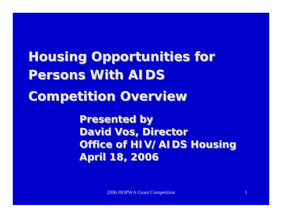# **Housing Opportunities for Housing Opportunities for Persons With AIDSPersons With AIDS Competition Overview Competition Overview**

**Presented by Presented by David Vos, Director David Vos, Director Office of HIV/AIDS Housing Office of HIV/AIDS Housing April 18, 2006 April 18, 2006**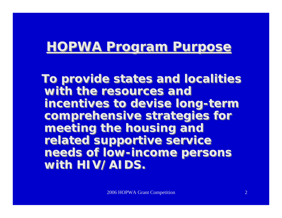### **HOPWA Program Purpose HOPWA Program Purpose**

**To provide states and localities To provide states and localities with the resources and with the resources and incentives to devise long-term incentives to devise long-term comprehensive strategies for comprehensive strategies for meeting the housing and meeting the housing and related supportive service related supportive service needs of low-income persons needs of low-income persons with HIV/AIDS. with HIV/AIDS.**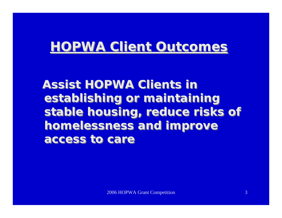## **HOPWA Client Outcomes HOPWA Client Outcomes**

**Assist HOPWA Clients in Assist HOPWA Clients in establishing or maintaining establishing or maintaining stable housing, reduce risks of stable housing, reduce risks of homelessness and improve homelessness and improve access to careaccess to care**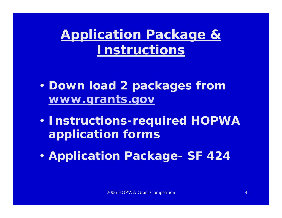**Application Package & Instructions**

- $\blacksquare$  **Down load 2 packages from [www.grants.gov](http://www.grants.gov/)**
- $\blacksquare$  **Instructions-required HOPWA application forms**
- $\blacksquare$ **Application Package- SF 424**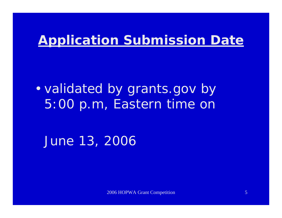# **Application Submission Date**

• validated by grants.gov by 5:00 p.m, Eastern time on

June 13, 2006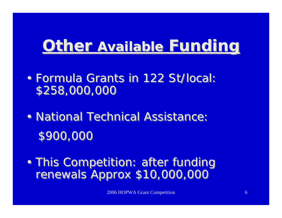# **Other Available Available Funding Funding**

- •• Formula Grants in 122 St/local: \$258,000,000 \$258,000,000 Formula Grants in 122 St/local:
- •• National Technical Assistance: \$900,000 \$900,000 National Technical Assistance:
- •• This Competition: after funding renewals Approx \$10,000,000 renewals Approx \$10,000,000This Competition: after funding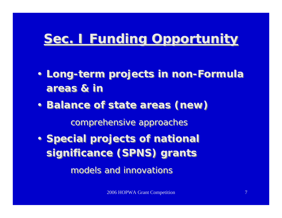# **Sec. I Funding Opportunity Sec. I Funding Opportunity**

- **Long-term projects in non-Formula Long-term projects in non-Formula areas & inareas & in**
- • **Balance of state areas (***new* **)** •*comprehensive a pproaches comprehensive a pproaches* **Balance of state areas (***new* **)**
- **Special projects of national Special projects of national significance (SPNS) grants significance (SPNS) grants**

*models and innovationsmodels and innovations*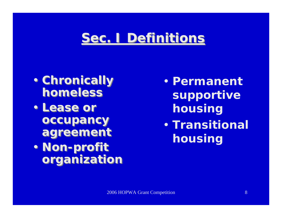# **Sec. I Definitions Sec. I Definitions**

- • **Chronically**  •**homeless homeless Chronically**
- • **Lease or**  •**occupancy occupancy agreement agreement Lease or**
- • **Non-profit**  •**organization organization Non-profit**
- $\blacksquare$  **Permanent supportive housing**
- $\blacksquare$  **Transitional housing**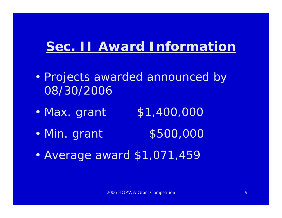# **Sec. II Award Information**

- $\blacksquare$ • Projects awarded announced by 08/30/2006
- •\$1,400,000
- •• Min. grant \$500,000
- •Average award \$1,071,459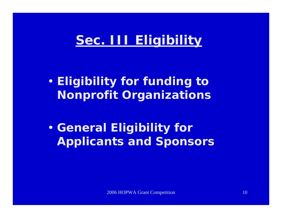# **Sec. III Eligibility**

 $\blacksquare$  **Eligibility for funding to Nonprofit Organizations**

 $\blacksquare$ **• General Eligibility for Applicants and Sponsors**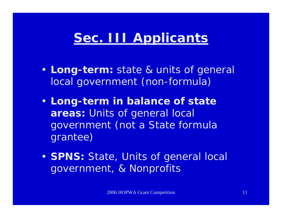# **Sec. III Applicants**

- **Long-term:** state & units of general local government (non-formula)
- **Long-term in balance of state areas:** Units of general local government (not a State formula grantee)
- **SPNS:** State, Units of general local government, & Nonprofits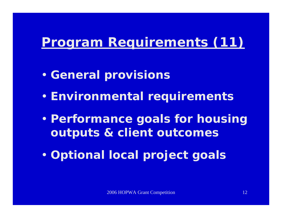# **Program Requirements (11)**

- $\blacksquare$ **• General provisions**
- $\blacksquare$ **Environmental requirements**
- $\blacksquare$  **Performance goals for housing outputs & client outcomes**
- $\blacksquare$ **Optional local project goals**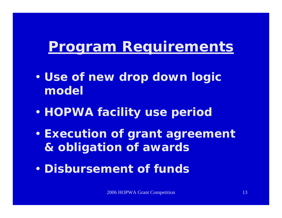# **Program Requirements**

- $\blacksquare$  **Use of new** *drop down* **logic model**
- •**HOPWA facility use period**
- • **Execution of grant agreement & obligation of awards**
- $\blacksquare$ **Disbursement of funds**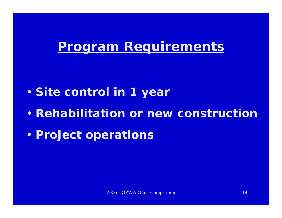### **Program Requirements**

- $\blacksquare$ **Site control in 1 year**
- $\blacksquare$ **• Rehabilitation or new constructior**
- $\blacksquare$ **Project operations**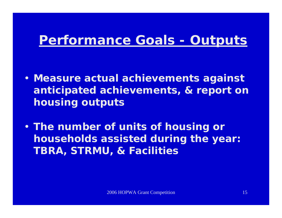# **Performance Goals - Outputs**

- **Measure actual achievements against anticipated achievements, & report on housing outputs**
- **The number of units of housing or households assisted during the year: TBRA, STRMU, & Facilities**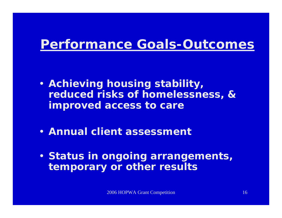### **Performance Goals-Outcomes**

- **Achieving housing stability, reduced risks of homelessness, & improved access to care**
- **Annual client assessment**
- **Status in ongoing arrangements, temporary or other results**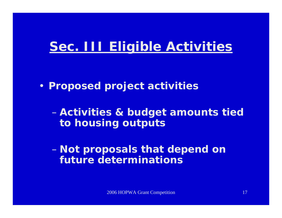## **Sec. III Eligible Activities**

• **Proposed project activities**

 $\mathcal{L}_{\mathcal{A}}$  **Activities & budget amounts tied to housing outputs**

 $\mathcal{L}_{\mathcal{A}}$  **Not proposals that depend on future determinations**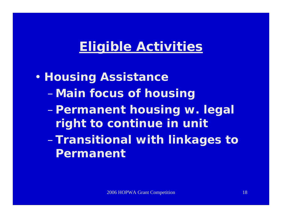$\blacksquare$  **Housing Assistance** –**Main focus of housing** –**Permanent housing w. legal right to continue in unit**  –**Transitional with linkages to Permanent**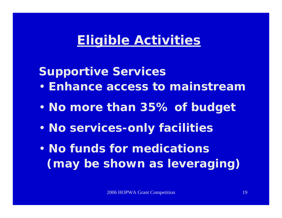**Supportive Services**

- $\blacksquare$ **Enhance access to mainstream**
- $\blacksquare$ **No more than 35% of budget**
- •**No services-only facilities**
- $\blacksquare$  **No funds for medications (may be shown as leveraging)**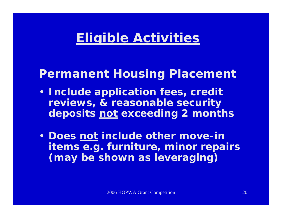#### **Permanent Housing Placement**

- **Include application fees, credit reviews, & reasonable security deposits not exceeding 2 months**
- • **Does not include other move-in items e.g. furniture, minor repairs (may be shown as leveraging)**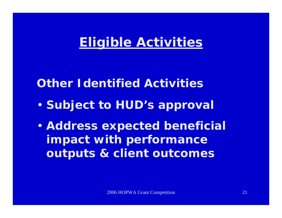### **Other Identified Activities**

- $\blacksquare$ **• Subject to HUD's approval**
- $\blacksquare$  **Address expected beneficial impact with performance outputs & client outcomes**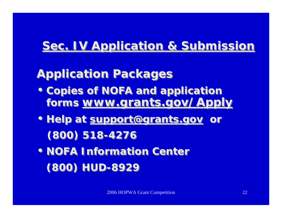### **Sec. IV Application & Submission**

### **Application Packages Application Packages**

- **Copies of NOFA and application Copies of NOFA and application forms www.grants.gov/Apply forms www.grants.gov/Apply**
- **Help at support@grants.gov or Help at support@grants.gov or (800) 518-4276 (800) 518-4276**
- **NOFA Information Center NOFA Information Center (800) HUD-8929 (800) HUD-8929**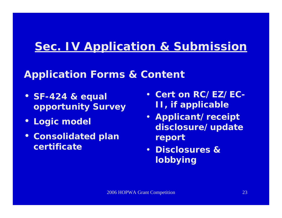### **Sec. IV Application & Submission**

#### **Application Forms & Content**

- **SF-424 & equal opportunity Surve y**
- •**Logic model**
- **Consolidated plan certificate**
- **Cert on RC/EZ/EC-II, if applicable**
- **Applicant/receipt disclosure/update report**
- **Disclosures & lobbying**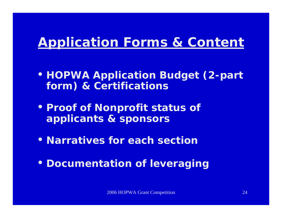# **Application Forms & Content**

- **HOPWA Application Budget (2-part form) & Certifications**
- **Proof of Nonprofit status of applicants & sponsors**
- **Narratives for each section**
- **Documentation of leveraging**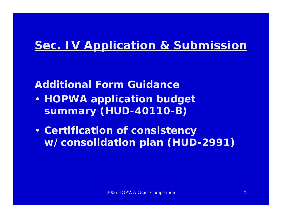### **Sec. IV Application & Submission**

#### **Additional Form Guidance**

- **HOPWA application budget summary (HUD-40110-B)**
- **Certification of consistency w/consolidation plan (HUD-2991)**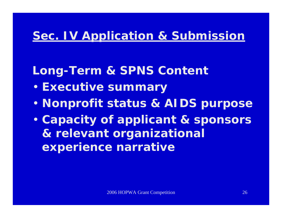### **Sec. IV Application & Submission**

- **Long-Term & SPNS Content**
- $\blacksquare$ **Executive summary**
- $\blacksquare$ **Nonprofit status & AIDS purpose**
- $\blacksquare$  **Capacity of applicant & sponsors & relevant organizational experience narrative**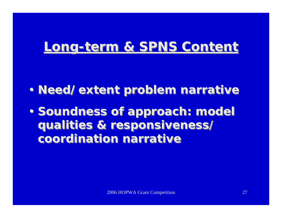# **Long-term & SPNS Content Long-term & SPNS Content**

- • **Need/extent problem narrative** •**Need/extent problem narrative**
- •**• Soundness of approach: model qualities & responsiveness**/ **qualities & responsiveness**/ **coordination narrative Soundness of approach: model**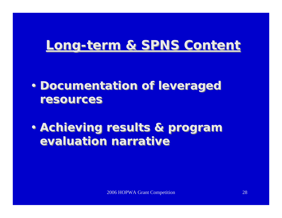# **Long-term & SPNS Content Long-term & SPNS Content**

- • **Documentation of leveraged**  •**resourcesresourcesDocumentation of leveraged**
- • **Achieving results & program**  •**evaluation narrative Achieving results & program**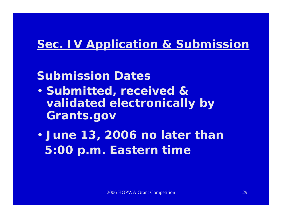### **Sec. IV Application & Submission**

### **Submission Dates**

- $\blacksquare$  **Submitted, received & validated electronically by Grants.gov**
- $\blacksquare$  **June 13, 2006 no later than 5:00 p.m. Eastern time**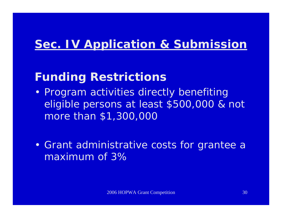### **Sec. IV Application & Submission**

### **Funding Restrictions**

- •• Program activities directly benefiting eligible persons at least \$500,000 & n ot more than \$1,300,000
- $\mathbf{r}$  Grant administrative costs for grantee a maximum of 3%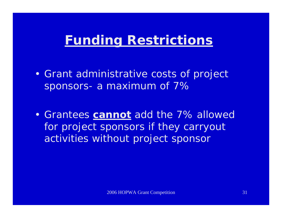- $\blacksquare$  Grant administrative costs of project sponsors-a maximum of 7%
- Grantees **cannot** add the 7% allowed for project sponsors if they carryout activities without project sponsor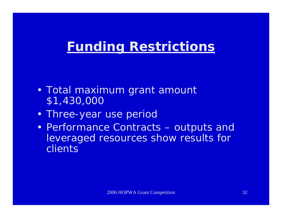- $\blacksquare$  Total maximum grant amount \$1,430,000
- $\mathbf{r}$ • Three-year use period
- $\blacksquare$ • Performance Contracts – outputs and leveraged resources show results for clients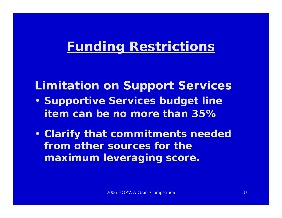### **Limitation on Support Services**

- **Supportive Services budget line item can be no more than 35%**
- **Clarify that commitments needed**  from other sources for the **maximum leveraging score.**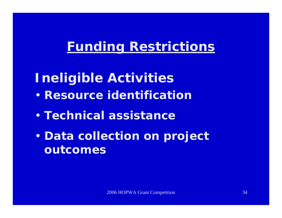# **Ineligible Activities**

- $\blacksquare$ **• Resource identificatior**
- $\blacksquare$ **Technical assistance**
- $\blacksquare$ **• Data collection on project outcomes**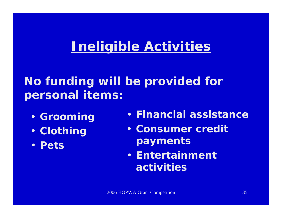## **Ineligible Activities**

### **No funding will be provided for personal items:**

- **Grooming**
- **Clothing**
- **Pets**
- **Financial assistance**
- **Consumer credit payments**
- **Entertainment activities**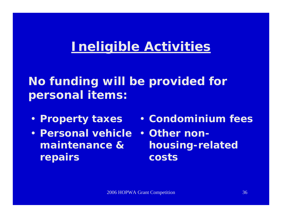# **Ineligible Activities**

### **No funding will be provided for personal items:**

- **Property taxes**
- **Personal vehicle maintenance & repairs**
- **Condominium fees**
- **Other nonhousing-related costs**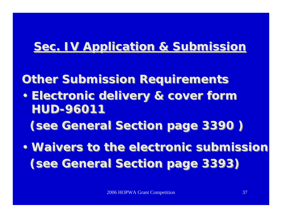#### **Sec. IV Application & Submission Sec. IV Application & Submission**

#### **Other Submission Requirements Other Submission Requirements**

• **Electronic delivery & cover form**  •**HUD-96011HUD-96011Electronic delivery & cover form** 

**(see General Section page 3390 ) (see General Section page 3390 )**

• **Waivers to the electronic submission**• **Waivers to the electronic submission (see General Section page 3393) (see General Section page 3393)**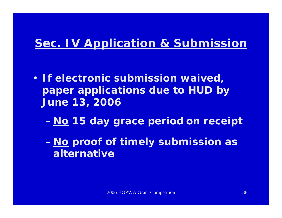#### **Sec. IV Application & Submission**

- **If electronic submission waived, paper applications due to HUD by June 13, 2006**
	- **No 15 day grace period on receipt**
	- **No proof of timely submission as alternative**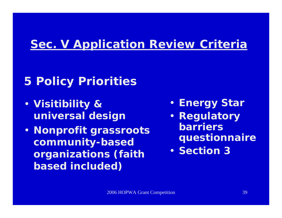#### **Sec. V Application Review Criteria**

### **5 Policy Priorities**

- **Visitibility & universal design**
- **Nonprofit grassroots community-based organizations (faith based included)**
- **Energy Star**
- **Regulatory barriers** 
	- **questionnaire**
- **Section 3**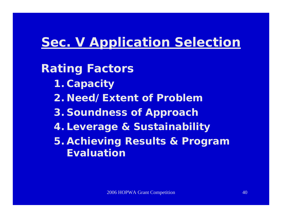### **Sec. V Application Selection**

**Rating Factors**

- **1. Capacity**
- **2. Need/Extent of Problem**
- **3. Soundness of Approach**
- **4. Leverage & Sustainability**
- **5. Achieving Results & Program Evaluation**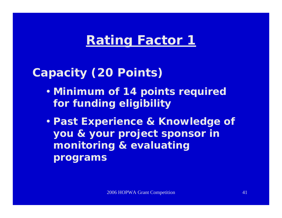### **Rating Factor 1**

#### **Capacity (20 Points)**

- **Minimum of 14 points required for funding eligibility**
- **Past Experience & Knowledge of you & your project sponsor in monitoring & evaluating programs**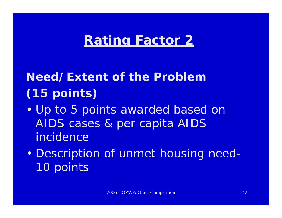### **Rating Factor 2**

# **Need/Extent of the Problem (15 points)**

- $\blacksquare$ • Up to 5 points awarded based on AIDS cases & per capita AIDS incidence
- $\blacksquare$ Description of unmet housing need-10 points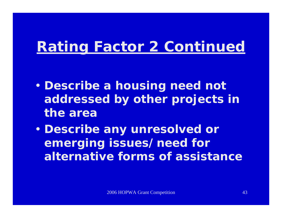# **Rating Factor 2 Continued**

- $\blacksquare$  **Describe a housing need not addressed by other projects in the area**
- $\blacksquare$  **Describe any unresolved or emerging issues/need for alternative forms of assistance**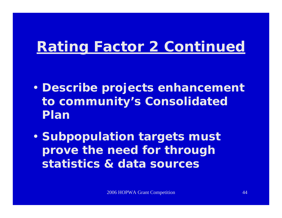# **Rating Factor 2 Continued**

- $\blacksquare$  **Describe projects enhancement to community's Consolidated Plan**
- •**• Subpopulation targets must prove the need for through statistics & data sources**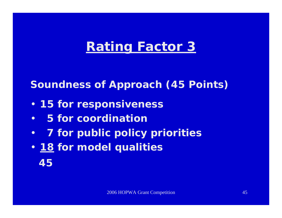### **Rating Factor 3**

#### **Soundness of Approach (45 Points)**

- **15 for responsiveness**
- •**5 for coordination**
- $\bullet$ **7 for public policy priorities**
- **18 for model qualities 45**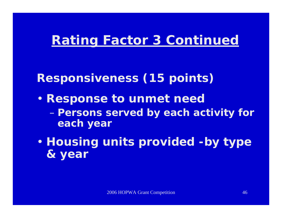### **Rating Factor 3 Continued**

#### **Responsiveness (15 points)**

- • **Response to unmet need Persons served by each activity for each year**
- $\blacksquare$  **Housing units provided -by type & year**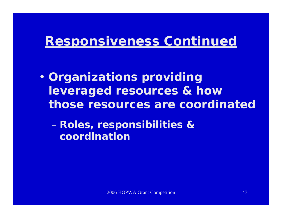$\blacksquare$  **Organizations providing leveraged resources & how those resources are coordinated**

 **Roles, responsibilities & coordination**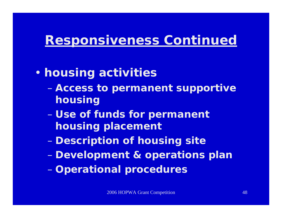- $\blacksquare$  **housing activities**
	- $\mathcal{L}_{\mathcal{A}}$  , and the set of the set of the set of the set of the set of the set of the set of the set of the set of the set of the set of the set of the set of the set of the set of the set of the set of the set of th **Access to permanent supportive housing**
	- $\mathcal{L}_{\mathcal{A}}$  , and the set of the set of the set of the set of the set of the set of the set of the set of the set of the set of the set of the set of the set of the set of the set of the set of the set of the set of th **Use of funds for permanent housing placement**
	- **Description of housing site**
	- **Development & operations plan**
	- $\mathcal{L}_{\mathcal{A}}$  , and the set of the set of the set of the set of the set of the set of the set of the set of the set of the set of the set of the set of the set of the set of the set of the set of the set of the set of th **Operational procedures**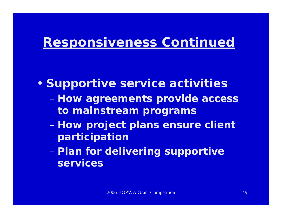- $\blacksquare$ **• Supportive service activities** 
	- $\mathcal{L}_{\mathcal{A}}$  , and the set of the set of the set of the set of the set of the set of the set of the set of the set of the set of the set of the set of the set of the set of the set of the set of the set of the set of th **How agreements provide access to mainstream programs**
	- $\mathcal{L}_{\mathcal{A}}$  , and the set of the set of the set of the set of the set of the set of the set of the set of the set of the set of the set of the set of the set of the set of the set of the set of the set of the set of th **How project plans ensure client participation**
	- **Plan for delivering supportive services**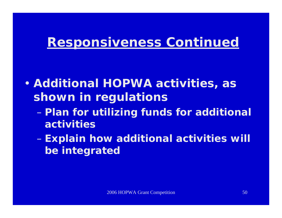- $\blacksquare$  **Additional HOPWA activities, as shown in regulations** 
	- $\mathcal{L}_{\mathcal{A}}$  , and the set of the set of the set of the set of the set of the set of the set of the set of the set of the set of the set of the set of the set of the set of the set of the set of the set of the set of th **Plan for utilizing funds for additional activities**
	- –**Explain how additional activities will be integrated**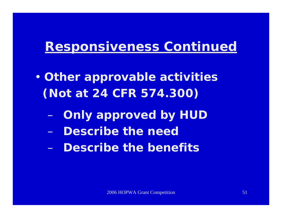- $\blacksquare$  **Other approvable activities (Not at 24 CFR 574.300)**
	- –**Only approved by HUD**
	- –**Describe the need**
	- **Describe the benefits**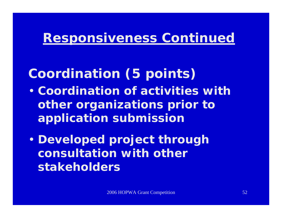### **Coordination (5 points)**

- **Coordination of activities with other organizations prior to application submission**
- $\blacksquare$  **Developed project through consultation with other stakeholders**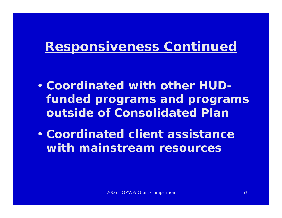- **Coordinated with other HUDfunded programs and programs outside of Consolidated Plan**
- **Coordinated client assistance with mainstream resources**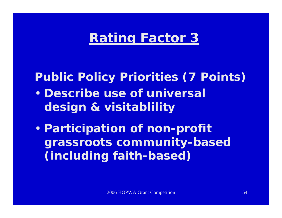### **Rating Factor 3**

#### **Public Policy Priorities (7 Points)**

- **Describe use of universal design & visitablility**
- $\blacksquare$  **Participation of non-profit grassroots community-based (including faith-based)**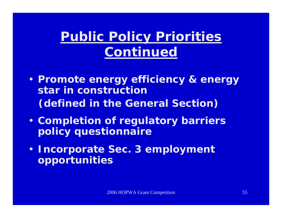# **Public Policy Priorities Continued**

- **Promote energy efficiency & energy star in construction (defined in the General Section)**
- **Completion of regulatory barriers policy questionnaire**
- **Incorporate Sec. 3 employment opportunities**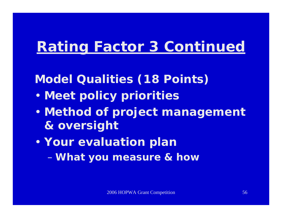# **Rating Factor 3 Continued**

#### **Model Qualities (18 Points)**

- •**Meet policy priorities**
- $\blacksquare$  **Method of project management & oversight**
- • **Your evaluation plan** –**What you measure & how**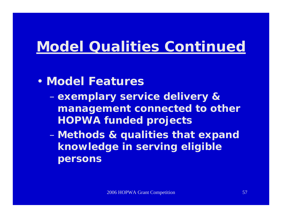# **Model Qualities Continued**

- **Model Features**
	- $\mathcal{L}_{\mathcal{A}}$  , and the set of the set of the set of the set of the set of the set of the set of the set of the set of the set of the set of the set of the set of the set of the set of the set of the set of the set of th **exemplary service delivery & management connected to other HOPWA funded projects**
	- **Methods & qualities that expand knowledge in serving eligible persons**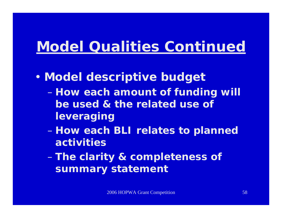# **Model Qualities Continued**

- $\blacksquare$  **Model descriptive budget**
	- $\mathcal{L}_{\mathcal{A}}$  , and the set of the set of the set of the set of the set of the set of the set of the set of the set of the set of the set of the set of the set of the set of the set of the set of the set of the set of th **How each amount of funding will be used & the related use of leveraging**
	- **How each BLI relates to planned activities**
	- –**The clarity & completeness of summary statement**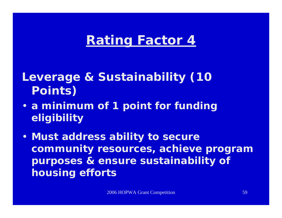### **Rating Factor 4**

**Leverage & Sustainability (10 Points)**

- **a minimum of 1 point for funding eligibility**
- **Must address ability to secure community resources, achieve program purposes & ensure sustainability of housing efforts**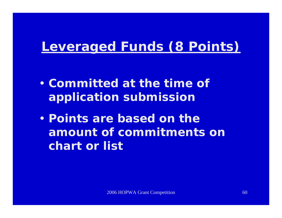### **Leveraged Funds (8 Points)**

- **Committed at the time of application submission**
- **Points are based on the amount of commitments on chart or list**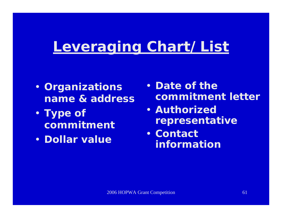# **Leveraging Chart/List**

- **Organizations name & address**
- **Type of commitment**
- **Dollar value**
- **Date of the commitment letter**
- **Authorized representative**
- **Contact information**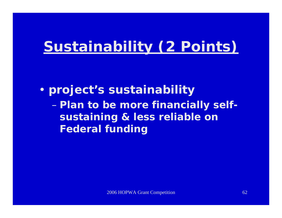# **Sustainability (2 Points)**

 $\blacksquare$  **project's sustainability**   $\mathcal{L}_{\mathcal{A}}$  , and the set of the set of the set of the set of the set of the set of the set of the set of the set of the set of the set of the set of the set of the set of the set of the set of the set of the set of th **Plan to be more financially selfsustaining & less reliable on Federal funding**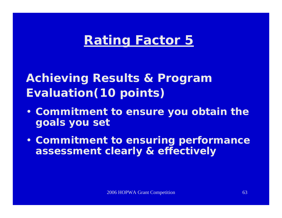### **Rating Factor 5**

**Achieving Results & Program Evaluation(10 points)**

- **Commitment to ensure you obtain the goals you set**
- **Commitment to ensuring performance assessment clearly & effectively**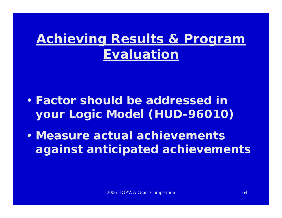## **Achieving Results & Program Evaluation**

- **Factor should be addressed in your Logic Model (HUD-96010)**
- **Measure actual achievements against anticipated achievements**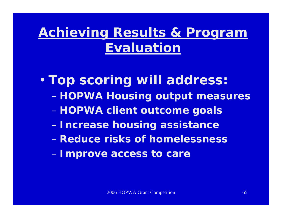# **Achieving Results & Program Evaluation**

• **Top scoring will address: HOPWA Housing output measures**   $\mathcal{L}_{\mathcal{A}}$  , and the set of the set of the set of the set of the set of the set of the set of the set of the set of the set of the set of the set of the set of the set of the set of the set of the set of the set of th **HOPWA client outcome goals**  $\mathcal{L}_{\mathcal{A}}$  , and the set of the set of the set of the set of the set of the set of the set of the set of the set of the set of the set of the set of the set of the set of the set of the set of the set of the set of th **Increase housing assistance** – **Reduce risks of homelessness Improve access to care**

 $\mathcal{L}_{\mathcal{A}}$  , and the set of the set of the set of the set of the set of the set of the set of the set of the set of the set of the set of the set of the set of the set of the set of the set of the set of the set of th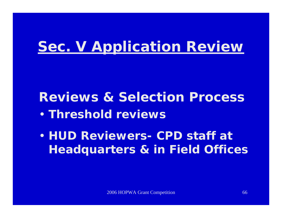# **Sec. V Application Review**

**Reviews & Selection Process**

- **Threshold reviews**
- **HUD Reviewers-CPD staff at Headquarters & in Field Offices**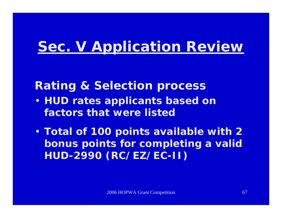# **Sec. V Application Review**

#### **Rating & Selection process**

- **HUD rates applicants based on factors that were listed**
- **Total of 100 points available with 2 bonus points for completing a valid HUD-2990 (RC/EZ/EC-II)**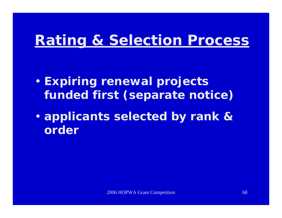- $\blacksquare$  **Expiring renewal projects funded first (separate notice)**
- $\blacksquare$  **applicants selected by rank & order**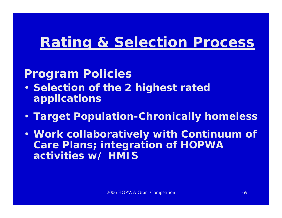#### **Program Policies**

- **Selection of the 2 highest rated applications**
- **Target Population-Chronically homeless**
- **Work collaboratively with Continuum of Care Plans; integration of HOPWA activities w/ HMIS**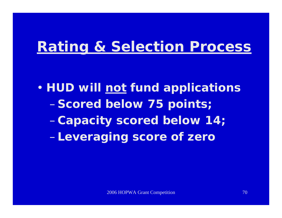$\blacksquare$  **HUD will not fund applications** –**Scored below 75 points;**  –**Capacity scored below 14;**  –**Leveraging score of zero**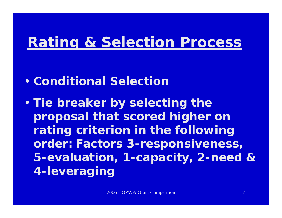- **Conditional Selection**
- $\blacksquare$  **Tie breaker by selecting the proposal that scored higher on rating criterion in the following order: Factors 3-responsiveness, 5-evaluation, 1-capacity, 2-need & 4-leveraging**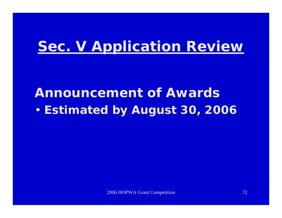# **Sec. V Application Review**

#### **Announcement of Awards**•**Estimated by August 30, 2006**

2006 HOPWA Grant Competition 72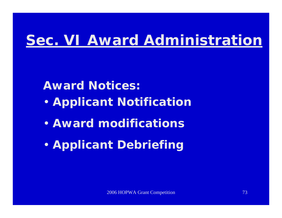# **Sec. VI Award Administration**

#### **Award Notices:**

- •**Applicant Notification**
- **Award modifications**
- •**Applicant Debriefing**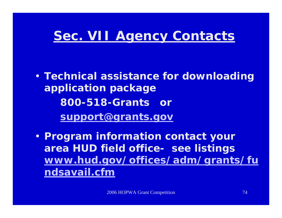#### **Sec. VII Agency Contacts**

• **Technical assistance for downloading application package 800-518-Grants or [support@grants.gov](mailto:support@grants.gov)**

• **Program information contact your area HUD field office-see listings [www.hud.gov/offices/adm/grants/fu](http://www.hud.gov/offices/adm/grants/fundsavail.cfm) [ndsavail.cfm](http://www.hud.gov/offices/adm/grants/fundsavail.cfm)**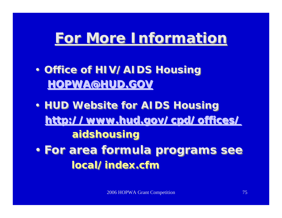## **For More Information For More Information**

- **Office of HIV/AIDS Housing Office of HIV/AIDS Housing [HOPWA@HUD.GOV](mailto:HOPWA@HUD.GOV) HOPWA@HUD.GOV**
- **HUD Website for AIDS Housing HUD Website for AIDS Housing http://www.hud.gov/cpd/offices/ <http://www.hud.gov/cpd/offices/> aidshousing aidshousing**  • **For area formula programs see** •**local/index.cfmlocal/index.cfmFor area formula programs see**